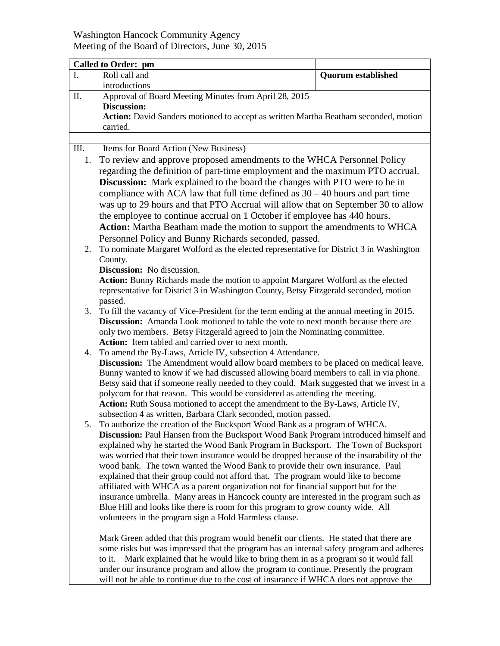## Washington Hancock Community Agency Meeting of the Board of Directors, June 30, 2015

| <b>Called to Order: pm</b> |                                                                                                                                                                                       |                                                                                                                                                                          |                           |
|----------------------------|---------------------------------------------------------------------------------------------------------------------------------------------------------------------------------------|--------------------------------------------------------------------------------------------------------------------------------------------------------------------------|---------------------------|
| I.                         | Roll call and                                                                                                                                                                         |                                                                                                                                                                          | <b>Quorum established</b> |
|                            | introductions                                                                                                                                                                         |                                                                                                                                                                          |                           |
| Π.                         |                                                                                                                                                                                       | Approval of Board Meeting Minutes from April 28, 2015                                                                                                                    |                           |
|                            | <b>Discussion:</b>                                                                                                                                                                    |                                                                                                                                                                          |                           |
|                            | Action: David Sanders motioned to accept as written Martha Beatham seconded, motion                                                                                                   |                                                                                                                                                                          |                           |
|                            | carried.                                                                                                                                                                              |                                                                                                                                                                          |                           |
|                            |                                                                                                                                                                                       |                                                                                                                                                                          |                           |
| Ш.                         | Items for Board Action (New Business)                                                                                                                                                 |                                                                                                                                                                          |                           |
| 1.                         |                                                                                                                                                                                       | To review and approve proposed amendments to the WHCA Personnel Policy                                                                                                   |                           |
|                            | regarding the definition of part-time employment and the maximum PTO accrual.                                                                                                         |                                                                                                                                                                          |                           |
|                            | <b>Discussion:</b> Mark explained to the board the changes with PTO were to be in                                                                                                     |                                                                                                                                                                          |                           |
|                            | compliance with ACA law that full time defined as $30 - 40$ hours and part time                                                                                                       |                                                                                                                                                                          |                           |
|                            |                                                                                                                                                                                       |                                                                                                                                                                          |                           |
|                            | was up to 29 hours and that PTO Accrual will allow that on September 30 to allow<br>the employee to continue accrual on 1 October if employee has 440 hours.                          |                                                                                                                                                                          |                           |
|                            |                                                                                                                                                                                       |                                                                                                                                                                          |                           |
|                            |                                                                                                                                                                                       | Action: Martha Beatham made the motion to support the amendments to WHCA                                                                                                 |                           |
|                            |                                                                                                                                                                                       | Personnel Policy and Bunny Richards seconded, passed.                                                                                                                    |                           |
| 2.                         | To nominate Margaret Wolford as the elected representative for District 3 in Washington                                                                                               |                                                                                                                                                                          |                           |
|                            | County.                                                                                                                                                                               |                                                                                                                                                                          |                           |
|                            | <b>Discussion:</b> No discussion.                                                                                                                                                     |                                                                                                                                                                          |                           |
|                            | <b>Action:</b> Bunny Richards made the motion to appoint Margaret Wolford as the elected<br>representative for District 3 in Washington County, Betsy Fitzgerald seconded, motion     |                                                                                                                                                                          |                           |
|                            | passed.                                                                                                                                                                               |                                                                                                                                                                          |                           |
| 3.                         |                                                                                                                                                                                       |                                                                                                                                                                          |                           |
|                            | To fill the vacancy of Vice-President for the term ending at the annual meeting in 2015.<br><b>Discussion:</b> Amanda Look motioned to table the vote to next month because there are |                                                                                                                                                                          |                           |
|                            | only two members. Betsy Fitzgerald agreed to join the Nominating committee.                                                                                                           |                                                                                                                                                                          |                           |
|                            | Action: Item tabled and carried over to next month.                                                                                                                                   |                                                                                                                                                                          |                           |
| 4.                         |                                                                                                                                                                                       | To amend the By-Laws, Article IV, subsection 4 Attendance.                                                                                                               |                           |
|                            |                                                                                                                                                                                       | <b>Discussion:</b> The Amendment would allow board members to be placed on medical leave.                                                                                |                           |
|                            |                                                                                                                                                                                       | Bunny wanted to know if we had discussed allowing board members to call in via phone.                                                                                    |                           |
|                            |                                                                                                                                                                                       | Betsy said that if someone really needed to they could. Mark suggested that we invest in a                                                                               |                           |
|                            |                                                                                                                                                                                       | polycom for that reason. This would be considered as attending the meeting.                                                                                              |                           |
|                            |                                                                                                                                                                                       | Action: Ruth Sousa motioned to accept the amendment to the By-Laws, Article IV,                                                                                          |                           |
|                            |                                                                                                                                                                                       | subsection 4 as written, Barbara Clark seconded, motion passed.                                                                                                          |                           |
|                            |                                                                                                                                                                                       | 5. To authorize the creation of the Bucksport Wood Bank as a program of WHCA.                                                                                            |                           |
|                            |                                                                                                                                                                                       | Discussion: Paul Hansen from the Bucksport Wood Bank Program introduced himself and                                                                                      |                           |
|                            |                                                                                                                                                                                       | explained why he started the Wood Bank Program in Bucksport. The Town of Bucksport                                                                                       |                           |
|                            |                                                                                                                                                                                       | was worried that their town insurance would be dropped because of the insurability of the                                                                                |                           |
|                            |                                                                                                                                                                                       | wood bank. The town wanted the Wood Bank to provide their own insurance. Paul                                                                                            |                           |
|                            |                                                                                                                                                                                       | explained that their group could not afford that. The program would like to become                                                                                       |                           |
|                            |                                                                                                                                                                                       | affiliated with WHCA as a parent organization not for financial support but for the                                                                                      |                           |
|                            |                                                                                                                                                                                       | insurance umbrella. Many areas in Hancock county are interested in the program such as                                                                                   |                           |
|                            |                                                                                                                                                                                       | Blue Hill and looks like there is room for this program to grow county wide. All                                                                                         |                           |
|                            | volunteers in the program sign a Hold Harmless clause.                                                                                                                                |                                                                                                                                                                          |                           |
|                            |                                                                                                                                                                                       |                                                                                                                                                                          |                           |
|                            |                                                                                                                                                                                       | Mark Green added that this program would benefit our clients. He stated that there are                                                                                   |                           |
|                            |                                                                                                                                                                                       | some risks but was impressed that the program has an internal safety program and adheres                                                                                 |                           |
|                            | to it.                                                                                                                                                                                | Mark explained that he would like to bring them in as a program so it would fall<br>under our insurance program and allow the program to continue. Presently the program |                           |

under our insurance program and allow the program to continue. Presently the program will not be able to continue due to the cost of insurance if WHCA does not approve the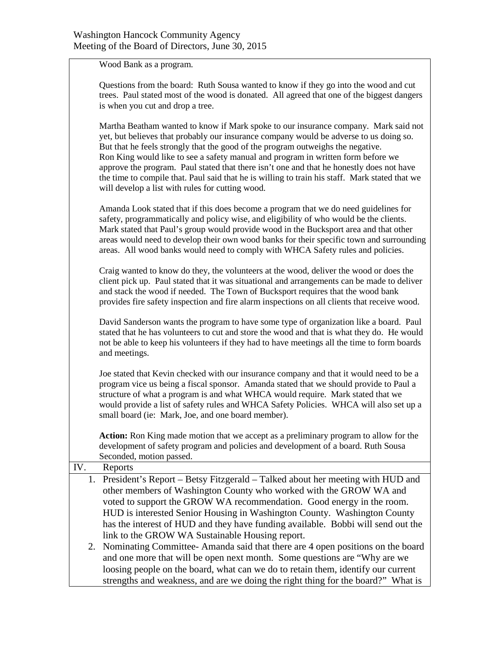Wood Bank as a program.

|     | Questions from the board: Ruth Sousa wanted to know if they go into the wood and cut<br>trees. Paul stated most of the wood is donated. All agreed that one of the biggest dangers<br>is when you cut and drop a tree.                                                                                                                                                                                                                                                                                                                                                                                 |
|-----|--------------------------------------------------------------------------------------------------------------------------------------------------------------------------------------------------------------------------------------------------------------------------------------------------------------------------------------------------------------------------------------------------------------------------------------------------------------------------------------------------------------------------------------------------------------------------------------------------------|
|     | Martha Beatham wanted to know if Mark spoke to our insurance company. Mark said not<br>yet, but believes that probably our insurance company would be adverse to us doing so.<br>But that he feels strongly that the good of the program outweighs the negative.<br>Ron King would like to see a safety manual and program in written form before we<br>approve the program. Paul stated that there isn't one and that he honestly does not have<br>the time to compile that. Paul said that he is willing to train his staff. Mark stated that we<br>will develop a list with rules for cutting wood. |
|     | Amanda Look stated that if this does become a program that we do need guidelines for<br>safety, programmatically and policy wise, and eligibility of who would be the clients.<br>Mark stated that Paul's group would provide wood in the Bucksport area and that other<br>areas would need to develop their own wood banks for their specific town and surrounding<br>areas. All wood banks would need to comply with WHCA Safety rules and policies.                                                                                                                                                 |
|     | Craig wanted to know do they, the volunteers at the wood, deliver the wood or does the<br>client pick up. Paul stated that it was situational and arrangements can be made to deliver<br>and stack the wood if needed. The Town of Bucksport requires that the wood bank<br>provides fire safety inspection and fire alarm inspections on all clients that receive wood.                                                                                                                                                                                                                               |
|     | David Sanderson wants the program to have some type of organization like a board. Paul<br>stated that he has volunteers to cut and store the wood and that is what they do. He would<br>not be able to keep his volunteers if they had to have meetings all the time to form boards<br>and meetings.                                                                                                                                                                                                                                                                                                   |
|     | Joe stated that Kevin checked with our insurance company and that it would need to be a<br>program vice us being a fiscal sponsor. Amanda stated that we should provide to Paul a<br>structure of what a program is and what WHCA would require. Mark stated that we<br>would provide a list of safety rules and WHCA Safety Policies. WHCA will also set up a<br>small board (ie: Mark, Joe, and one board member).                                                                                                                                                                                   |
|     | <b>Action:</b> Ron King made motion that we accept as a preliminary program to allow for the<br>development of safety program and policies and development of a board. Ruth Sousa<br>Seconded, motion passed.                                                                                                                                                                                                                                                                                                                                                                                          |
| IV. | Reports                                                                                                                                                                                                                                                                                                                                                                                                                                                                                                                                                                                                |
| 1.  | President's Report - Betsy Fitzgerald - Talked about her meeting with HUD and<br>other members of Washington County who worked with the GROW WA and<br>voted to support the GROW WA recommendation. Good energy in the room.<br>HUD is interested Senior Housing in Washington County. Washington County<br>has the interest of HUD and they have funding available. Bobbi will send out the<br>link to the GROW WA Sustainable Housing report.                                                                                                                                                        |
| 2.  | Nominating Committee-Amanda said that there are 4 open positions on the board<br>and one more that will be open next month. Some questions are "Why are we<br>loosing people on the board, what can we do to retain them, identify our current                                                                                                                                                                                                                                                                                                                                                         |

strengths and weakness, and are we doing the right thing for the board?" What is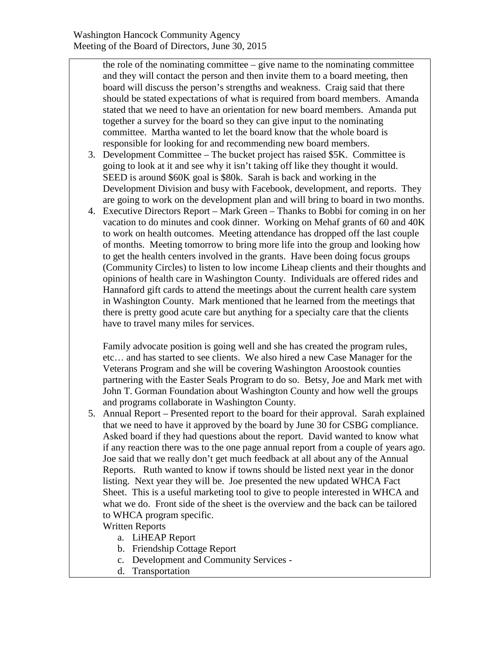the role of the nominating committee – give name to the nominating committee and they will contact the person and then invite them to a board meeting, then board will discuss the person's strengths and weakness. Craig said that there should be stated expectations of what is required from board members. Amanda stated that we need to have an orientation for new board members. Amanda put together a survey for the board so they can give input to the nominating committee. Martha wanted to let the board know that the whole board is responsible for looking for and recommending new board members.

- 3. Development Committee The bucket project has raised \$5K. Committee is going to look at it and see why it isn't taking off like they thought it would. SEED is around \$60K goal is \$80k. Sarah is back and working in the Development Division and busy with Facebook, development, and reports. They are going to work on the development plan and will bring to board in two months.
- 4. Executive Directors Report Mark Green Thanks to Bobbi for coming in on her vacation to do minutes and cook dinner. Working on Mehaf grants of 60 and 40K to work on health outcomes. Meeting attendance has dropped off the last couple of months. Meeting tomorrow to bring more life into the group and looking how to get the health centers involved in the grants. Have been doing focus groups (Community Circles) to listen to low income Liheap clients and their thoughts and opinions of health care in Washington County. Individuals are offered rides and Hannaford gift cards to attend the meetings about the current health care system in Washington County. Mark mentioned that he learned from the meetings that there is pretty good acute care but anything for a specialty care that the clients have to travel many miles for services.

Family advocate position is going well and she has created the program rules, etc… and has started to see clients. We also hired a new Case Manager for the Veterans Program and she will be covering Washington Aroostook counties partnering with the Easter Seals Program to do so. Betsy, Joe and Mark met with John T. Gorman Foundation about Washington County and how well the groups and programs collaborate in Washington County.

5. Annual Report – Presented report to the board for their approval. Sarah explained that we need to have it approved by the board by June 30 for CSBG compliance. Asked board if they had questions about the report. David wanted to know what if any reaction there was to the one page annual report from a couple of years ago. Joe said that we really don't get much feedback at all about any of the Annual Reports. Ruth wanted to know if towns should be listed next year in the donor listing. Next year they will be. Joe presented the new updated WHCA Fact Sheet. This is a useful marketing tool to give to people interested in WHCA and what we do. Front side of the sheet is the overview and the back can be tailored to WHCA program specific.

## Written Reports

- a. LiHEAP Report
- b. Friendship Cottage Report
- c. Development and Community Services -
- d. Transportation